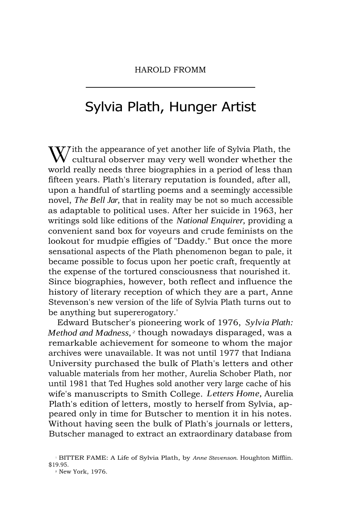## Sylvia Plath, Hunger Artist

 $\mathbf{W}$  ith the appearance of yet another life of Sylvia Plath, the cultural observer may very well wonder whether the world really needs three biographies in a period of less than fifteen years. Plath's literary reputation is founded, after all, upon a handful of startling poems and a seemingly accessible novel, *The Bell Jar,* that in reality may be not so much accessible as adaptable to political uses. After her suicide in 1963, her writings sold like editions of the *National Enquirer,* providing a convenient sand box for voyeurs and crude feminists on the lookout for mudpie effigies of "Daddy." But once the more sensational aspects of the Plath phenomenon began to pale, it became possible to focus upon her poetic craft, frequently at the expense of the tortured consciousness that nourished it. Since biographies, however, both reflect and influence the history of literary reception of which they are a part, Anne Stevenson's new version of the life of Sylvia Plath turns out to be anything but supererogatory.'

Edward Butscher's pioneering work of 1976, *Sylvia Plath: Method and Madness, <sup>2</sup>* though nowadays disparaged, was a remarkable achievement for someone to whom the major archives were unavailable. It was not until 1977 that Indiana University purchased the bulk of Plath's letters and other valuable materials from her mother, Aurelia Schober Plath, nor until 1981 that Ted Hughes sold another very large cache of his wife's manuscripts to Smith College. *Letters Home,* Aurelia Plath's edition of letters, mostly to herself from Sylvia, appeared only in time for Butscher to mention it in his notes. Without having seen the bulk of Plath's journals or letters, Butscher managed to extract an extraordinary database from

<sup>1</sup> BITTER FAME: A Life of Sylvia Plath, by *Anne Stevenson.* Houghton Mifflin. \$19.95.

<sup>2</sup> New York, 1976.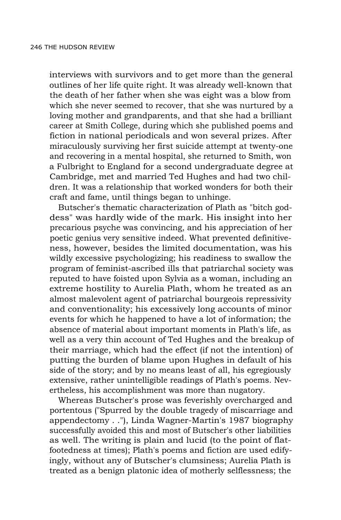interviews with survivors and to get more than the general outlines of her life quite right. It was already well-known that the death of her father when she was eight was a blow from which she never seemed to recover, that she was nurtured by a loving mother and grandparents, and that she had a brilliant career at Smith College, during which she published poems and fiction in national periodicals and won several prizes. After miraculously surviving her first suicide attempt at twenty-one and recovering in a mental hospital, she returned to Smith, won a Fulbright to England for a second undergraduate degree at Cambridge, met and married Ted Hughes and had two children. It was a relationship that worked wonders for both their craft and fame, until things began to unhinge.

Butscher's thematic characterization of Plath as "bitch goddess" was hardly wide of the mark. His insight into her precarious psyche was convincing, and his appreciation of her poetic genius very sensitive indeed. What prevented definitiveness, however, besides the limited documentation, was his wildly excessive psychologizing; his readiness to swallow the program of feminist-ascribed ills that patriarchal society was reputed to have foisted upon Sylvia as a woman, including an extreme hostility to Aurelia Plath, whom he treated as an almost malevolent agent of patriarchal bourgeois repressivity and conventionality; his excessively long accounts of minor events for which he happened to have a lot of information; the absence of material about important moments in Plath's life, as well as a very thin account of Ted Hughes and the breakup of their marriage, which had the effect (if not the intention) of putting the burden of blame upon Hughes in default of his side of the story; and by no means least of all, his egregiously extensive, rather unintelligible readings of Plath's poems. Nevertheless, his accomplishment was more than nugatory.

Whereas Butscher's prose was feverishly overcharged and portentous ("Spurred by the double tragedy of miscarriage and appendectomy . ."), Linda Wagner-Martin's 1987 biography successfully avoided this and most of Butscher's other liabilities as well. The writing is plain and lucid (to the point of flatfootedness at times); Plath's poems and fiction are used edifyingly, without any of Butscher's clumsiness; Aurelia Plath is treated as a benign platonic idea of motherly selflessness; the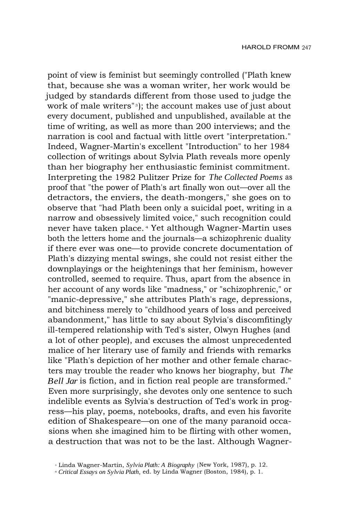point of view is feminist but seemingly controlled ("Plath knew that, because she was a woman writer, her work would be judged by standards different from those used to judge the work of male writers"<sup>3</sup> ); the account makes use of just about every document, published and unpublished, available at the time of writing, as well as more than 200 interviews; and the narration is cool and factual with little overt "interpretation." Indeed, Wagner-Martin's excellent "Introduction" to her 1984 collection of writings about Sylvia Plath reveals more openly than her biography her enthusiastic feminist commitment. Interpreting the 1982 Pulitzer Prize for *The Collected Poems* as proof that "the power of Plath's art finally won out—over all the detractors, the enviers, the death-mongers," she goes on to observe that "had Plath been only a suicidal poet, writing in a narrow and obsessively limited voice," such recognition could never have taken place. <sup>4</sup> Yet although Wagner-Martin uses both the letters home and the journals—a schizophrenic duality if there ever was one—to provide concrete documentation of Plath's dizzying mental swings, she could not resist either the downplayings or the heightenings that her feminism, however controlled, seemed to require. Thus, apart from the absence in her account of any words like "madness," or "schizophrenic," or "manic-depressive," she attributes Plath's rage, depressions, and bitchiness merely to "childhood years of loss and perceived abandonment," has little to say about Sylvia's discomfitingly ill-tempered relationship with Ted's sister, Olwyn Hughes (and a lot of other people), and excuses the almost unprecedented malice of her literary use of family and friends with remarks like "Plath's depiction of her mother and other female characters may trouble the reader who knows her biography, but *The Bell Jar* is fiction, and in fiction real people are transformed." Even more surprisingly, she devotes only one sentence to such indelible events as Sylvia's destruction of Ted's work in progress—his play, poems, notebooks, drafts, and even his favorite edition of Shakespeare—on one of the many paranoid occasions when she imagined him to be flirting with other women, a destruction that was not to be the last. Although Wagner-

<sup>3</sup> Linda Wagner-Martin, *Sylvia Plath: A Biography* ( New York, 1987), p. 12.

<sup>4</sup>  *Critical Essays on Sylvia Plath,* ed. by Linda Wagner (Boston, 1984), p. 1.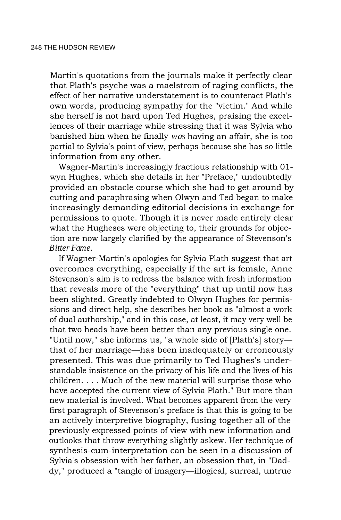Martin's quotations from the journals make it perfectly clear that Plath's psyche was a maelstrom of raging conflicts, the effect of her narrative understatement is to counteract Plath's own words, producing sympathy for the "victim." And while she herself is not hard upon Ted Hughes, praising the excellences of their marriage while stressing that it was Sylvia who banished him when he finally *was* having an affair, she is too partial to Sylvia's point of view, perhaps because she has so little information from any other.

Wagner-Martin's increasingly fractious relationship with 01 wyn Hughes, which she details in her "Preface," undoubtedly provided an obstacle course which she had to get around by cutting and paraphrasing when Olwyn and Ted began to make increasingly demanding editorial decisions in exchange for permissions to quote. Though it is never made entirely clear what the Hugheses were objecting to, their grounds for objection are now largely clarified by the appearance of Stevenson's *Bitter Fame.*

If Wagner-Martin's apologies for Sylvia Plath suggest that art overcomes everything, especially if the art is female, Anne Stevenson's aim is to redress the balance with fresh information that reveals more of the "everything" that up until now has been slighted. Greatly indebted to Olwyn Hughes for permissions and direct help, she describes her book as "almost a work of dual authorship," and in this case, at least, it may very well be that two heads have been better than any previous single one. "Until now," she informs us, "a whole side of [Plath's] story that of her marriage—has been inadequately or erroneously presented. This was due primarily to Ted Hughes's understandable insistence on the privacy of his life and the lives of his children. . . . Much of the new material will surprise those who have accepted the current view of Sylvia Plath." But more than new material is involved. What becomes apparent from the very first paragraph of Stevenson's preface is that this is going to be an actively interpretive biography, fusing together all of the previously expressed points of view with new information and outlooks that throw everything slightly askew. Her technique of synthesis-cum-interpretation can be seen in a discussion of Sylvia's obsession with her father, an obsession that, in "Daddy," produced a "tangle of imagery—illogical, surreal, untrue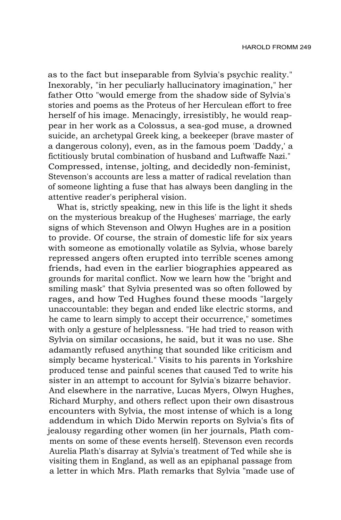as to the fact but inseparable from Sylvia's psychic reality." Inexorably, "in her peculiarly hallucinatory imagination," her father Otto "would emerge from the shadow side of Sylvia's stories and poems as the Proteus of her Herculean effort to free herself of his image. Menacingly, irresistibly, he would reappear in her work as a Colossus, a sea-god muse, a drowned suicide, an archetypal Greek king, a beekeeper (brave master of a dangerous colony), even, as in the famous poem 'Daddy,' a fictitiously brutal combination of husband and Luftwaffe Nazi." Compressed, intense, jolting, and decidedly non-feminist, Stevenson's accounts are less a matter of radical revelation than of someone lighting a fuse that has always been dangling in the attentive reader's peripheral vision.

What is, strictly speaking, new in this life is the light it sheds on the mysterious breakup of the Hugheses' marriage, the early signs of which Stevenson and Olwyn Hughes are in a position to provide. Of course, the strain of domestic life for six years with someone as emotionally volatile as Sylvia, whose barely repressed angers often erupted into terrible scenes among friends, had even in the earlier biographies appeared as grounds for marital conflict. Now we learn how the "bright and smiling mask" that Sylvia presented was so often followed by rages, and how Ted Hughes found these moods "largely unaccountable: they began and ended like electric storms, and he came to learn simply to accept their occurrence," sometimes with only a gesture of helplessness. "He had tried to reason with Sylvia on similar occasions, he said, but it was no use. She adamantly refused anything that sounded like criticism and simply became hysterical." Visits to his parents in Yorkshire produced tense and painful scenes that caused Ted to write his sister in an attempt to account for Sylvia's bizarre behavior. And elsewhere in the narrative, Lucas Myers, Olwyn Hughes, Richard Murphy, and others reflect upon their own disastrous encounters with Sylvia, the most intense of which is a long addendum in which Dido Merwin reports on Sylvia's fits of jealousy regarding other women (in her journals, Plath comments on some of these events herself). Stevenson even records Aurelia Plath's disarray at Sylvia's treatment of Ted while she is visiting them in England, as well as an epiphanal passage from a letter in which Mrs. Plath remarks that Sylvia "made use of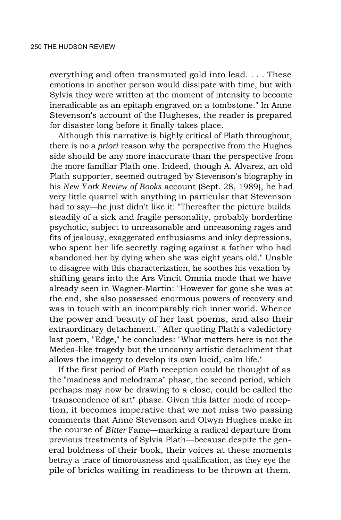everything and often transmuted gold into lead. . . . These emotions in another person would dissipate with time, but with Sylvia they were written at the moment of intensity to become ineradicable as an epitaph engraved on a tombstone." In Anne Stevenson's account of the Hugheses, the reader is prepared for disaster long before it finally takes place.

Although this narrative is highly critical of Plath throughout, there is no a *priori* reason why the perspective from the Hughes side should be any more inaccurate than the perspective from the more familiar Plath one. Indeed, though A. Alvarez, an old Plath supporter, seemed outraged by Stevenson's biography in his *New York Review of Books* account (Sept. 28, 1989), he had very little quarrel with anything in particular that Stevenson had to say—he just didn't like it: "Thereafter the picture builds steadily of a sick and fragile personality, probably borderline psychotic, subject to unreasonable and unreasoning rages and fits of jealousy, exaggerated enthusiasms and inky depressions, who spent her life secretly raging against a father who had abandoned her by dying when she was eight years old." Unable to disagree with this characterization, he soothes his vexation by shifting gears into the Ars Vincit Omnia mode that we have already seen in Wagner-Martin: "However far gone she was at the end, she also possessed enormous powers of recovery and was in touch with an incomparably rich inner world. Whence the power and beauty of her last poems, and also their extraordinary detachment." After quoting Plath's valedictory last poem, "Edge," he concludes: "What matters here is not the Medea-like tragedy but the uncanny artistic detachment that allows the imagery to develop its own lucid, calm life."

If the first period of Plath reception could be thought of as the "madness and melodrama" phase, the second period, which perhaps may now be drawing to a close, could be called the "transcendence of art" phase. Given this latter mode of reception, it becomes imperative that we not miss two passing comments that Anne Stevenson and Olwyn Hughes make in the course of *Bitter* Fame—marking a radical departure from previous treatments of Sylvia Plath—because despite the general boldness of their book, their voices at these moments betray a trace of timorousness and qualification, as they eye the pile of bricks waiting in readiness to be thrown at them.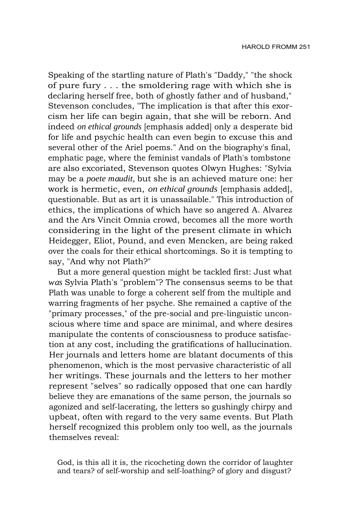Speaking of the startling nature of Plath's "Daddy," "the shock of pure fury . . . the smoldering rage with which she is declaring herself free, both of ghostly father and of husband," Stevenson concludes, "The implication is that after this exorcism her life can begin again, that she will be reborn. And indeed *on ethical grounds* [emphasis added] only a desperate bid for life and psychic health can even begin to excuse this and several other of the Ariel poems." And on the biography's final, emphatic page, where the feminist vandals of Plath's tombstone are also excoriated, Stevenson quotes Olwyn Hughes: "Sylvia may be a *poete maudit,* but she is an achieved mature one: her work is hermetic, even, *on ethical grounds* [emphasis added], questionable. But as art it is unassailable." This introduction of ethics, the implications of which have so angered A. Alvarez and the Ars Vincit Omnia crowd, becomes all the more worth considering in the light of the present climate in which Heidegger, Eliot, Pound, and even Mencken, are being raked over the coals for their ethical shortcomings. So it is tempting to say, "And why not Plath?"

But a more general question might be tackled first: Just what *was* Sylvia Plath's "problem"? The consensus seems to be that Plath was unable to forge a coherent self from the multiple and warring fragments of her psyche. She remained a captive of the "primary processes," of the pre-social and pre-linguistic unconscious where time and space are minimal, and where desires manipulate the contents of consciousness to produce satisfaction at any cost, including the gratifications of hallucination. Her journals and letters home are blatant documents of this phenomenon, which is the most pervasive characteristic of all her writings. These journals and the letters to her mother represent "selves" so radically opposed that one can hardly believe they are emanations of the same person, the journals so agonized and self-lacerating, the letters so gushingly chirpy and upbeat, often with regard to the very same events. But Plath herself recognized this problem only too well, as the journals themselves reveal:

God, is this all it is, the ricocheting down the corridor of laughter and tears? of self-worship and self-loathing? of glory and disgust?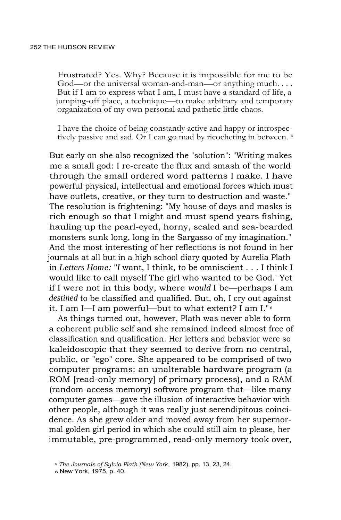Frustrated? Yes. Why? Because it is impossible for me to be God—or the universal woman-and-man—or anything much. . . . But if I am to express what I am, I must have a standard of life, a jumping-off place, a technique—to make arbitrary and temporary organization of my own personal and pathetic little chaos.

I have the choice of being constantly active and happy or introspectively passive and sad. Or I can go mad by ricocheting in between.<sup>5</sup>

But early on she also recognized the "solution": "Writing makes me a small god: I re-create the flux and smash of the world through the small ordered word patterns I make. I have powerful physical, intellectual and emotional forces which must have outlets, creative, or they turn to destruction and waste." The resolution is frightening: "My house of days and masks is rich enough so that I might and must spend years fishing, hauling up the pearl-eyed, horny, scaled and sea-bearded monsters sunk long, long in the Sargasso of my imagination." And the most interesting of her reflections is not found in her journals at all but in a high school diary quoted by Aurelia Plath in *Letters Home: "I* want, I think, to be omniscient . . . I think I would like to call myself The girl who wanted to be God.' Yet if I were not in this body, where *would* I be—perhaps I am *destined* to be classified and qualified. But, oh, I cry out against it. I am I—I am powerful—but to what extent? I am I." <sup>6</sup>

As things turned out, however, Plath was never able to form a coherent public self and she remained indeed almost free of classification and qualification. Her letters and behavior were so kaleidoscopic that they seemed to derive from no central, public, or "ego" core. She appeared to be comprised of two computer programs: an unalterable hardware program (a ROM [read-only memory] of primary process), and a RAM (random-access memory) software program that—like many computer games—gave the illusion of interactive behavior with other people, although it was really just serendipitous coincidence. As she grew older and moved away from her supernormal golden girl period in which she could still aim to please, her immutable, pre-programmed, read-only memory took over,

<sup>5</sup>  *The Journals of Sylvia Plath (New York,* 1982), pp. 13, 23, 24.

<sup>6</sup> New York, 1975, p. 40.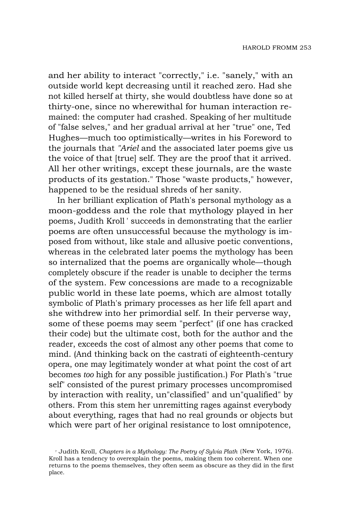and her ability to interact "correctly," i.e. "sanely," with an outside world kept decreasing until it reached zero. Had she not killed herself at thirty, she would doubtless have done so at thirty-one, since no wherewithal for human interaction remained: the computer had crashed. Speaking of her multitude of "false selves," and her gradual arrival at her "true" one, Ted Hughes—much too optimistically—writes in his Foreword to the journals that *"Ariel* and the associated later poems give us the voice of that [true] self. They are the proof that it arrived. All her other writings, except these journals, are the waste products of its gestation." Those "waste products," however, happened to be the residual shreds of her sanity.

In her brilliant explication of Plath's personal mythology as a moon-goddess and the role that mythology played in her poems, Judith Kroll' succeeds in demonstrating that the earlier poems are often unsuccessful because the mythology is imposed from without, like stale and allusive poetic conventions, whereas in the celebrated later poems the mythology has been so internalized that the poems are organically whole—though completely obscure if the reader is unable to decipher the terms of the system. Few concessions are made to a recognizable public world in these late poems, which are almost totally symbolic of Plath's primary processes as her life fell apart and she withdrew into her primordial self. In their perverse way, some of these poems may seem "perfect" (if one has cracked their code) but the ultimate cost, both for the author and the reader, exceeds the cost of almost any other poems that come to mind. (And thinking back on the castrati of eighteenth-century opera, one may legitimately wonder at what point the cost of art becomes *too* high for any possible justification.) For Plath's "true self" consisted of the purest primary processes uncompromised by interaction with reality, un"classified" and un"qualified" by others. From this stem her unremitting rages against everybody about everything, rages that had no real grounds or objects but which were part of her original resistance to lost omnipotence,

<sup>7</sup> Judith Kroll, *Chapters in a Mythology: The Poetry of Sylvia Plath* (New York, 1976). Kroll has a tendency to overexplain the poems, making them too coherent. When one returns to the poems themselves, they often seem as obscure as they did in the first place.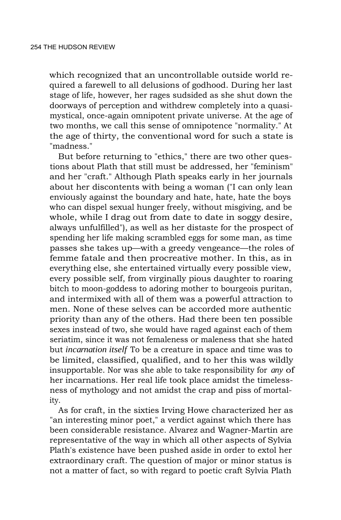which recognized that an uncontrollable outside world required a farewell to all delusions of godhood. During her last stage of life, however, her rages sudsided as she shut down the doorways of perception and withdrew completely into a quasimystical, once-again omnipotent private universe. At the age of two months, we call this sense of omnipotence "normality." At the age of thirty, the conventional word for such a state is "madness."

But before returning to "ethics," there are two other questions about Plath that still must be addressed, her "feminism" and her "craft." Although Plath speaks early in her journals about her discontents with being a woman ("I can only lean enviously against the boundary and hate, hate, hate the boys who can dispel sexual hunger freely, without misgiving, and be whole, while I drag out from date to date in soggy desire, always unfulfilled"), as well as her distaste for the prospect of spending her life making scrambled eggs for some man, as time passes she takes up—with a greedy vengeance—the roles of femme fatale and then procreative mother. In this, as in everything else, she entertained virtually every possible view, every possible self, from virginally pious daughter to roaring bitch to moon-goddess to adoring mother to bourgeois puritan, and intermixed with all of them was a powerful attraction to men. None of these selves can be accorded more authentic priority than any of the others. Had there been ten possible sexes instead of two, she would have raged against each of them seriatim, since it was not femaleness or maleness that she hated but *incarnation itself* To be a creature in space and time was to be limited, classified, qualified, and to her this was wildly insupportable. Nor was she able to take responsibility for *any* of her incarnations. Her real life took place amidst the timelessness of mythology and not amidst the crap and piss of mortality.

As for craft, in the sixties Irving Howe characterized her as "an interesting minor poet," a verdict against which there has been considerable resistance. Alvarez and Wagner-Martin are representative of the way in which all other aspects of Sylvia Plath's existence have been pushed aside in order to extol her extraordinary craft. The question of major or minor status is not a matter of fact, so with regard to poetic craft Sylvia Plath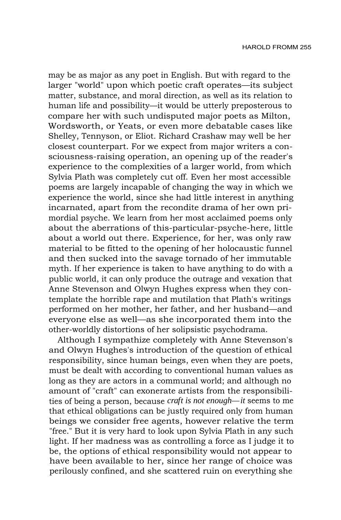may be as major as any poet in English. But with regard to the larger "world" upon which poetic craft operates—its subject matter, substance, and moral direction, as well as its relation to human life and possibility—it would be utterly preposterous to compare her with such undisputed major poets as Milton, Wordsworth, or Yeats, or even more debatable cases like Shelley, Tennyson, or Eliot. Richard Crashaw may well be her closest counterpart. For we expect from major writers a consciousness-raising operation, an opening up of the reader's experience to the complexities of a larger world, from which Sylvia Plath was completely cut off. Even her most accessible poems are largely incapable of changing the way in which we experience the world, since she had little interest in anything incarnated, apart from the recondite drama of her own primordial psyche. We learn from her most acclaimed poems only about the aberrations of this-particular-psyche-here, little about a world out there. Experience, for her, was only raw material to be fitted to the opening of her holocaustic funnel and then sucked into the savage tornado of her immutable myth. If her experience is taken to have anything to do with a public world, it can only produce the outrage and vexation that Anne Stevenson and Olwyn Hughes express when they contemplate the horrible rape and mutilation that Plath's writings performed on her mother, her father, and her husband—and everyone else as well—as she incorporated them into the other-worldly distortions of her solipsistic psychodrama.

Although I sympathize completely with Anne Stevenson's and Olwyn Hughes's introduction of the question of ethical responsibility, since human beings, even when they are poets, must be dealt with according to conventional human values as long as they are actors in a communal world; and although no amount of "craft" can exonerate artists from the responsibilities of being a person, because *craft is not enough—it* seems to me that ethical obligations can be justly required only from human beings we consider free agents, however relative the term "free." But it is very hard to look upon Sylvia Plath in any such light. If her madness was as controlling a force as I judge it to be, the options of ethical responsibility would not appear to have been available to her, since her range of choice was perilously confined, and she scattered ruin on everything she